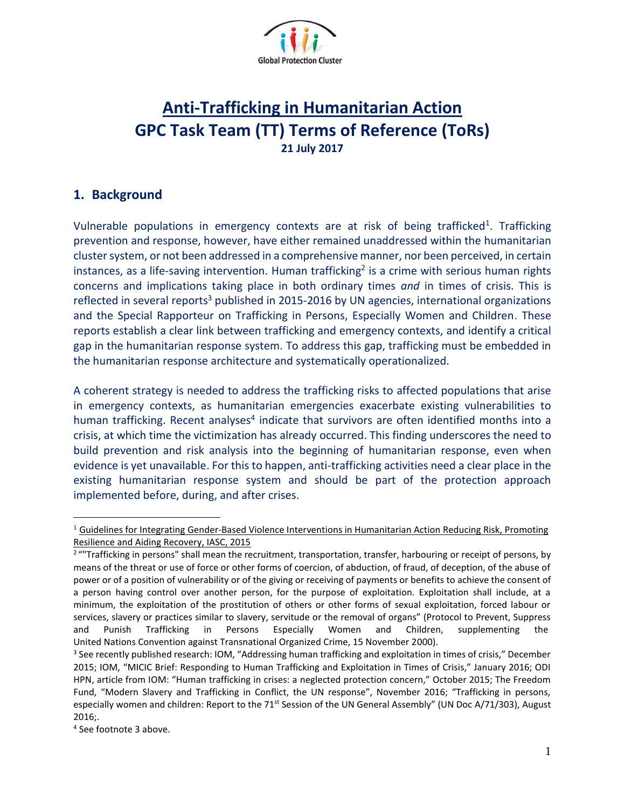

# **Anti-Trafficking in Humanitarian Action GPC Task Team (TT) Terms of Reference (ToRs) 21 July 2017**

### **1. Background**

Vulnerable populations in emergency contexts are at risk of being trafficked<sup>1</sup>. Trafficking prevention and response, however, have either remained unaddressed within the humanitarian clustersystem, or not been addressed in a comprehensive manner, nor been perceived, in certain instances, as a life-saving intervention. Human trafficking<sup>2</sup> is a crime with serious human rights concerns and implications taking place in both ordinary times *and* in times of crisis. This is reflected in several reports<sup>3</sup> published in 2015-2016 by UN agencies, international organizations and the Special Rapporteur on Trafficking in Persons, Especially Women and Children. These reports establish a clear link between trafficking and emergency contexts, and identify a critical gap in the humanitarian response system. To address this gap, trafficking must be embedded in the humanitarian response architecture and systematically operationalized.

A coherent strategy is needed to address the trafficking risks to affected populations that arise in emergency contexts, as humanitarian emergencies exacerbate existing vulnerabilities to human trafficking. Recent analyses<sup>4</sup> indicate that survivors are often identified months into a crisis, at which time the victimization has already occurred. This finding underscores the need to build prevention and risk analysis into the beginning of humanitarian response, even when evidence is yet unavailable. For this to happen, anti-trafficking activities need a clear place in the existing humanitarian response system and should be part of the protection approach implemented before, during, and after crises.

 $\overline{a}$ 

 $1$  Guidelines for Integrating Gender-Based Violence Interventions in Humanitarian Action Reducing Risk, Promoting Resilience and Aiding Recovery, IASC, 2015

<sup>&</sup>lt;sup>2</sup> ""Trafficking in persons" shall mean the recruitment, transportation, transfer, harbouring or receipt of persons, by means of the threat or use of force or other forms of coercion, of abduction, of fraud, of deception, of the abuse of power or of a position of vulnerability or of the giving or receiving of payments or benefits to achieve the consent of a person having control over another person, for the purpose of exploitation. Exploitation shall include, at a minimum, the exploitation of the prostitution of others or other forms of sexual exploitation, forced labour or services, slavery or practices similar to slavery, servitude or the removal of organs" (Protocol to Prevent, Suppress and Punish Trafficking in Persons Especially Women and Children, supplementing the United Nations Convention against Transnational Organized Crime, 15 November 2000).

<sup>&</sup>lt;sup>3</sup> See recently published research: IOM, "Addressing human trafficking and exploitation in times of crisis," December 2015; IOM, "MICIC Brief: Responding to Human Trafficking and Exploitation in Times of Crisis," January 2016; ODI HPN, article from IOM: "Human trafficking in crises: a neglected protection concern," October 2015; The Freedom Fund, "Modern Slavery and Trafficking in Conflict, the UN response", November 2016; "Trafficking in persons, especially women and children: Report to the 71<sup>st</sup> Session of the UN General Assembly" (UN Doc A/71/303), August 2016;.

<sup>4</sup> See footnote 3 above.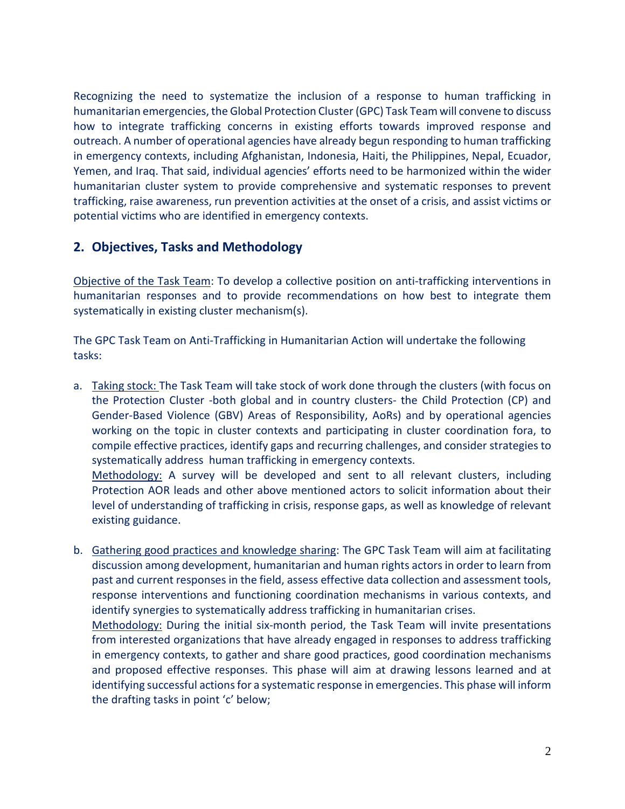Recognizing the need to systematize the inclusion of a response to human trafficking in humanitarian emergencies, the Global Protection Cluster (GPC) Task Team will convene to discuss how to integrate trafficking concerns in existing efforts towards improved response and outreach. A number of operational agencies have already begun responding to human trafficking in emergency contexts, including Afghanistan, Indonesia, Haiti, the Philippines, Nepal, Ecuador, Yemen, and Iraq. That said, individual agencies' efforts need to be harmonized within the wider humanitarian cluster system to provide comprehensive and systematic responses to prevent trafficking, raise awareness, run prevention activities at the onset of a crisis, and assist victims or potential victims who are identified in emergency contexts.

#### **2. Objectives, Tasks and Methodology**

Objective of the Task Team: To develop a collective position on anti-trafficking interventions in humanitarian responses and to provide recommendations on how best to integrate them systematically in existing cluster mechanism(s).

The GPC Task Team on Anti-Trafficking in Humanitarian Action will undertake the following tasks:

a. Taking stock: The Task Team will take stock of work done through the clusters (with focus on the Protection Cluster -both global and in country clusters- the Child Protection (CP) and Gender-Based Violence (GBV) Areas of Responsibility, AoRs) and by operational agencies working on the topic in cluster contexts and participating in cluster coordination fora, to compile effective practices, identify gaps and recurring challenges, and consider strategies to systematically address human trafficking in emergency contexts.

Methodology: A survey will be developed and sent to all relevant clusters, including Protection AOR leads and other above mentioned actors to solicit information about their level of understanding of trafficking in crisis, response gaps, as well as knowledge of relevant existing guidance.

b. Gathering good practices and knowledge sharing: The GPC Task Team will aim at facilitating discussion among development, humanitarian and human rights actorsin order to learn from past and current responses in the field, assess effective data collection and assessment tools, response interventions and functioning coordination mechanisms in various contexts, and identify synergies to systematically address trafficking in humanitarian crises.

Methodology: During the initial six-month period, the Task Team will invite presentations from interested organizations that have already engaged in responses to address trafficking in emergency contexts, to gather and share good practices, good coordination mechanisms and proposed effective responses. This phase will aim at drawing lessons learned and at identifying successful actions for a systematic response in emergencies. This phase will inform the drafting tasks in point 'c' below;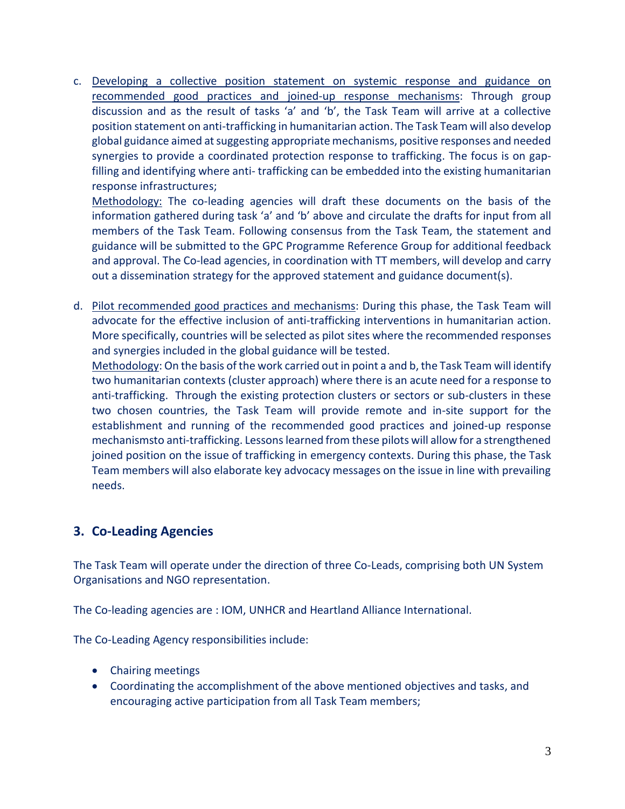c. Developing a collective position statement on systemic response and guidance on recommended good practices and joined-up response mechanisms: Through group discussion and as the result of tasks 'a' and 'b', the Task Team will arrive at a collective position statement on anti-trafficking in humanitarian action. The Task Team will also develop global guidance aimed at suggesting appropriate mechanisms, positive responses and needed synergies to provide a coordinated protection response to trafficking. The focus is on gapfilling and identifying where anti- trafficking can be embedded into the existing humanitarian response infrastructures;

Methodology: The co-leading agencies will draft these documents on the basis of the information gathered during task 'a' and 'b' above and circulate the drafts for input from all members of the Task Team. Following consensus from the Task Team, the statement and guidance will be submitted to the GPC Programme Reference Group for additional feedback and approval. The Co-lead agencies, in coordination with TT members, will develop and carry out a dissemination strategy for the approved statement and guidance document(s).

d. Pilot recommended good practices and mechanisms: During this phase, the Task Team will advocate for the effective inclusion of anti-trafficking interventions in humanitarian action. More specifically, countries will be selected as pilot sites where the recommended responses and synergies included in the global guidance will be tested.

Methodology: On the basis of the work carried out in point a and b, the Task Team will identify two humanitarian contexts (cluster approach) where there is an acute need for a response to anti-trafficking. Through the existing protection clusters or sectors or sub-clusters in these two chosen countries, the Task Team will provide remote and in-site support for the establishment and running of the recommended good practices and joined-up response mechanismsto anti-trafficking. Lessons learned from these pilots will allow for a strengthened joined position on the issue of trafficking in emergency contexts. During this phase, the Task Team members will also elaborate key advocacy messages on the issue in line with prevailing needs.

## **3. Co-Leading Agencies**

The Task Team will operate under the direction of three Co-Leads, comprising both UN System Organisations and NGO representation.

The Co-leading agencies are : IOM, UNHCR and Heartland Alliance International.

The Co-Leading Agency responsibilities include:

- Chairing meetings
- Coordinating the accomplishment of the above mentioned objectives and tasks, and encouraging active participation from all Task Team members;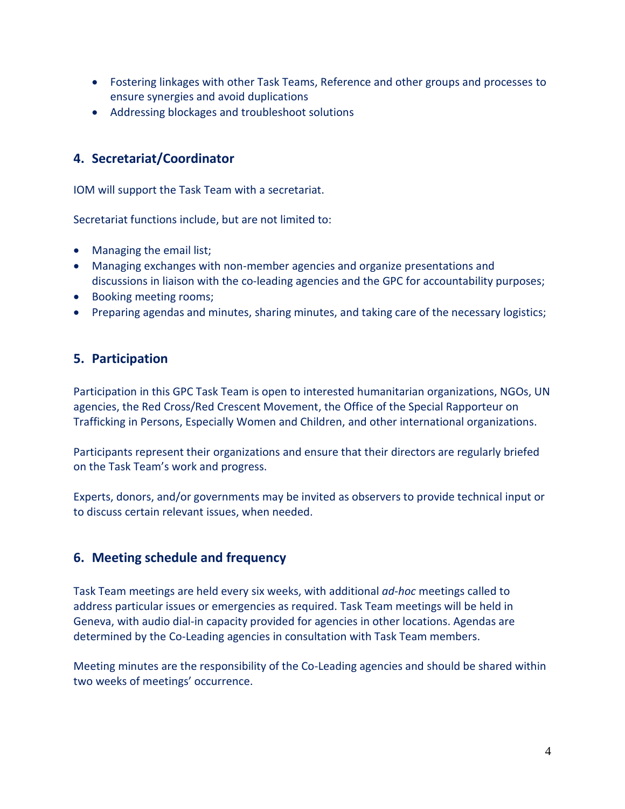- Fostering linkages with other Task Teams, Reference and other groups and processes to ensure synergies and avoid duplications
- Addressing blockages and troubleshoot solutions

### **4. Secretariat/Coordinator**

IOM will support the Task Team with a secretariat.

Secretariat functions include, but are not limited to:

- Managing the email list;
- Managing exchanges with non-member agencies and organize presentations and discussions in liaison with the co-leading agencies and the GPC for accountability purposes;
- Booking meeting rooms;
- Preparing agendas and minutes, sharing minutes, and taking care of the necessary logistics;

#### **5. Participation**

Participation in this GPC Task Team is open to interested humanitarian organizations, NGOs, UN agencies, the Red Cross/Red Crescent Movement, the Office of the Special Rapporteur on Trafficking in Persons, Especially Women and Children, and other international organizations.

Participants represent their organizations and ensure that their directors are regularly briefed on the Task Team's work and progress.

Experts, donors, and/or governments may be invited as observers to provide technical input or to discuss certain relevant issues, when needed.

#### **6. Meeting schedule and frequency**

Task Team meetings are held every six weeks, with additional *ad-hoc* meetings called to address particular issues or emergencies as required. Task Team meetings will be held in Geneva, with audio dial-in capacity provided for agencies in other locations. Agendas are determined by the Co-Leading agencies in consultation with Task Team members.

Meeting minutes are the responsibility of the Co-Leading agencies and should be shared within two weeks of meetings' occurrence.